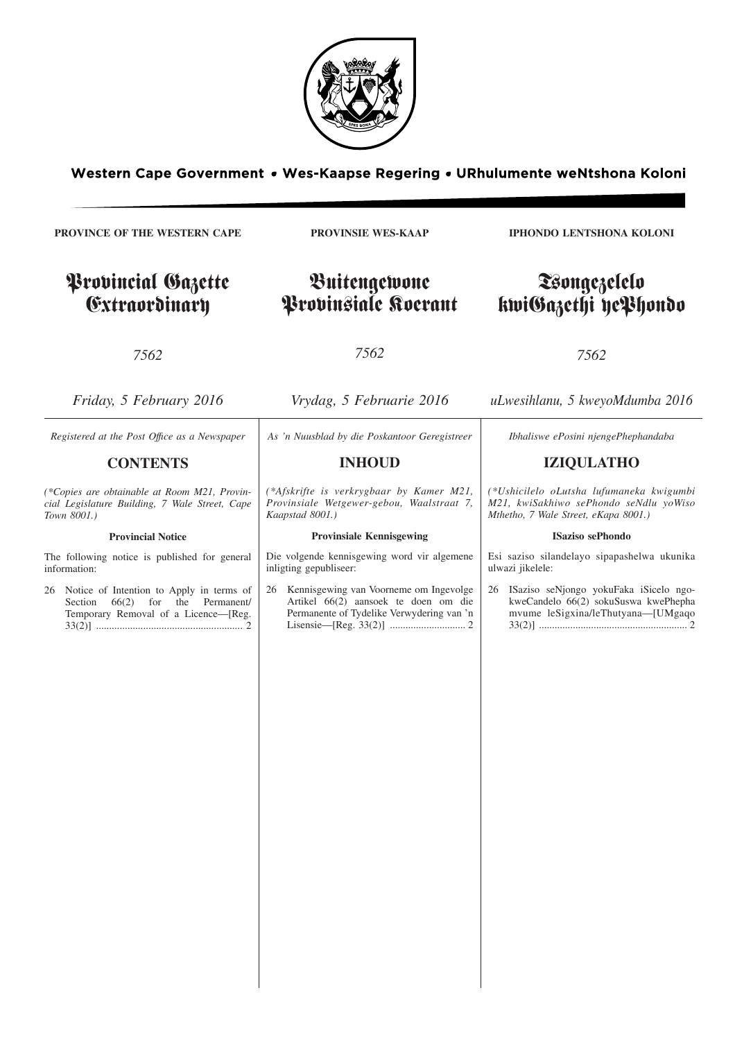

Western Cape Government • Wes-Kaapse Regering • URhulumente weNtshona Koloni

**PROVINCE OF THE WESTERN CAPE**

# Provincial Gazette Extraordinary

## **PROVINSIE WES-KAAP**

Buitengewone Provinsiale Koerant **IPHONDO LENTSHONA KOLONI**

# Tsongezelelo kwiGazethi yePhondo

*7562*

*7562*

*7562*

*Friday, 5 February 2016 Vrydag, 5 Februarie 2016 uLwesihlanu, 5 kweyoMdumba 2016 Registered at the Post Offıce as a Newspaper* **CONTENTS** *(\*Copies are obtainable at Room M21, Provincial Legislature Building, 7 Wale Street, Cape Town 8001.)* **Provincial Notice** The following notice is published for general information: 26 Notice of Intention to Apply in terms of Section  $66(2)$  for the Permanent/ Temporary Removal of a Licence—[Reg. 33(2)] ........................................................ 2 *As 'n Nuusblad by die Poskantoor Geregistreer* **INHOUD** *(\*Afskrifte is verkrygbaar by Kamer M21, Provinsiale Wetgewer-gebou, Waalstraat 7, Kaapstad 8001.)* **Provinsiale Kennisgewing** Die volgende kennisgewing word vir algemene inligting gepubliseer: 26 Kennisgewing van Voorneme om Ingevolge Artikel 66(2) aansoek te doen om die Permanente of Tydelike Verwydering van 'n Lisensie—[Reg. 33(2)] ............................. 2 *Ibhaliswe ePosini njengePhephandaba* **IZIQULATHO** *(\*Ushicilelo oLutsha lufumaneka kwigumbi M21, kwiSakhiwo sePhondo seNdlu yoWiso Mthetho, 7 Wale Street, eKapa 8001.)* **ISaziso sePhondo** Esi saziso silandelayo sipapashelwa ukunika ulwazi jikelele: 26 ISaziso seNjongo yokuFaka iSicelo ngokweCandelo 66(2) sokuSuswa kwePhepha mvume leSigxina/leThutyana—[UMgaqo 33(2)] ......................................................... 2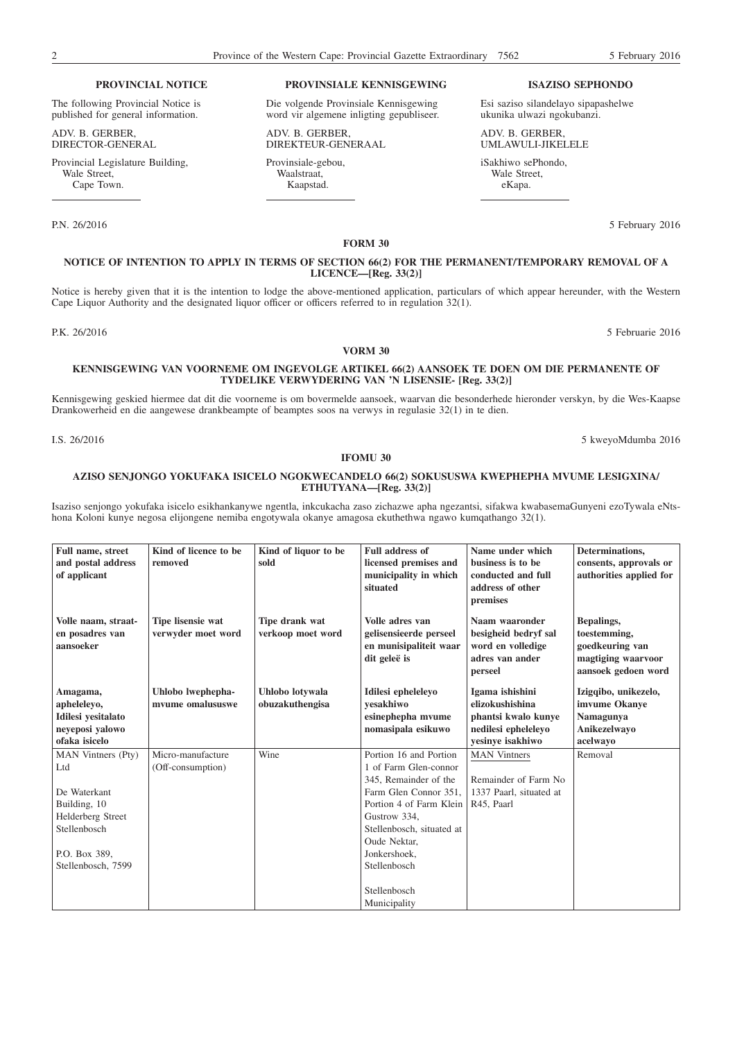#### **PROVINCIAL NOTICE**

The following Provincial Notice is published for general information.

ADV. B. GERBER, DIRECTOR-GENERAL

Provincial Legislature Building, Wale Street. Cape Town.

## **PROVINSIALE KENNISGEWING**

Die volgende Provinsiale Kennisgewing word vir algemene inligting gepubliseer.

ADV. B. GERBER, DIREKTEUR-GENERAAL

Provinsiale-gebou, Waalstraat, Kaapstad.

#### **ISAZISO SEPHONDO**

Esi saziso silandelayo sipapashelwe ukunika ulwazi ngokubanzi.

ADV. B. GERBER, UMLAWULI-JIKELELE

iSakhiwo sePhondo, Wale Street, eKapa.

P.N. 26/2016 5 February 2016

## **FORM 30 NOTICE OF INTENTION TO APPLY IN TERMS OF SECTION 66(2) FOR THE PERMANENT/TEMPORARY REMOVAL OF A LICENCE—[Reg. 33(2)]**

Notice is hereby given that it is the intention to lodge the above-mentioned application, particulars of which appear hereunder, with the Western Cape Liquor Authority and the designated liquor officer or officers referred to in regulation 32(1).

P.K. 26/2016 5 Februarie 2016

### **VORM 30**

## **KENNISGEWING VAN VOORNEME OM INGEVOLGE ARTIKEL 66(2) AANSOEK TE DOEN OM DIE PERMANENTE OF TYDELIKE VERWYDERING VAN 'N LISENSIE- [Reg. 33(2)]**

Kennisgewing geskied hiermee dat dit die voorneme is om bovermelde aansoek, waarvan die besonderhede hieronder verskyn, by die Wes-Kaapse Drankowerheid en die aangewese drankbeampte of beamptes soos na verwys in regulasie 32(1) in te dien.

I.S. 26/2016 5 kweyoMdumba 2016

### **IFOMU 30**

## **AZISO SENJONGO YOKUFAKA ISICELO NGOKWECANDELO 66(2) SOKUSUSWA KWEPHEPHA MVUME LESIGXINA/ ETHUTYANA—[Reg. 33(2)]**

Isaziso senjongo yokufaka isicelo esikhankanywe ngentla, inkcukacha zaso zichazwe apha ngezantsi, sifakwa kwabasemaGunyeni ezoTywala eNtshona Koloni kunye negosa elijongene nemiba engotywala okanye amagosa ekuthethwa ngawo kumqathango 32(1).

| <b>Full name, street</b><br>and postal address<br>of applicant                                                                        | Kind of licence to be<br>removed        | Kind of liquor to be<br>sold        | <b>Full address of</b><br>licensed premises and<br>municipality in which<br>situated                                                                                                                                                                      | Name under which<br>business is to be<br>conducted and full<br>address of other<br>premises          | Determinations.<br>consents, approvals or<br>authorities applied for                       |
|---------------------------------------------------------------------------------------------------------------------------------------|-----------------------------------------|-------------------------------------|-----------------------------------------------------------------------------------------------------------------------------------------------------------------------------------------------------------------------------------------------------------|------------------------------------------------------------------------------------------------------|--------------------------------------------------------------------------------------------|
| Volle naam, straat-<br>en posadres van<br>aansoeker                                                                                   | Tipe lisensie wat<br>verwyder moet word | Tipe drank wat<br>verkoop moet word | Volle adres van<br>gelisensieerde perseel<br>en munisipaliteit waar<br>dit geleë is                                                                                                                                                                       | Naam waaronder<br>besigheid bedryf sal<br>word en volledige<br>adres van ander<br>perseel            | Bepalings,<br>toestemming,<br>goedkeuring van<br>magtiging waarvoor<br>aansoek gedoen word |
| Amagama,<br>apheleleyo,<br>Idilesi yesitalato<br>neyeposi yalowo<br>ofaka isicelo                                                     | Uhlobo lwephepha-<br>mvume omalususwe   | Uhlobo lotywala<br>obuzakuthengisa  | Idilesi epheleleyo<br>vesakhiwo<br>esinephepha mvume<br>nomasipala esikuwo                                                                                                                                                                                | Igama ishishini<br>elizokushishina<br>phantsi kwalo kunye<br>nedilesi epheleleyo<br>yesinye isakhiwo | Izigqibo, unikezelo,<br>imvume Okanve<br>Namagunya<br>Anikezelwayo<br>acelwayo             |
| MAN Vintners (Pty)<br>Ltd<br>De Waterkant<br>Building, 10<br>Helderberg Street<br>Stellenbosch<br>P.O. Box 389,<br>Stellenbosch, 7599 | Micro-manufacture<br>(Off-consumption)  | Wine                                | Portion 16 and Portion<br>1 of Farm Glen-connor<br>345, Remainder of the<br>Farm Glen Connor 351,<br>Portion 4 of Farm Klein<br>Gustrow 334,<br>Stellenbosch, situated at<br>Oude Nektar,<br>Jonkershoek,<br>Stellenbosch<br>Stellenbosch<br>Municipality | <b>MAN Vintners</b><br>Remainder of Farm No<br>1337 Paarl, situated at<br>R45, Paarl                 | Removal                                                                                    |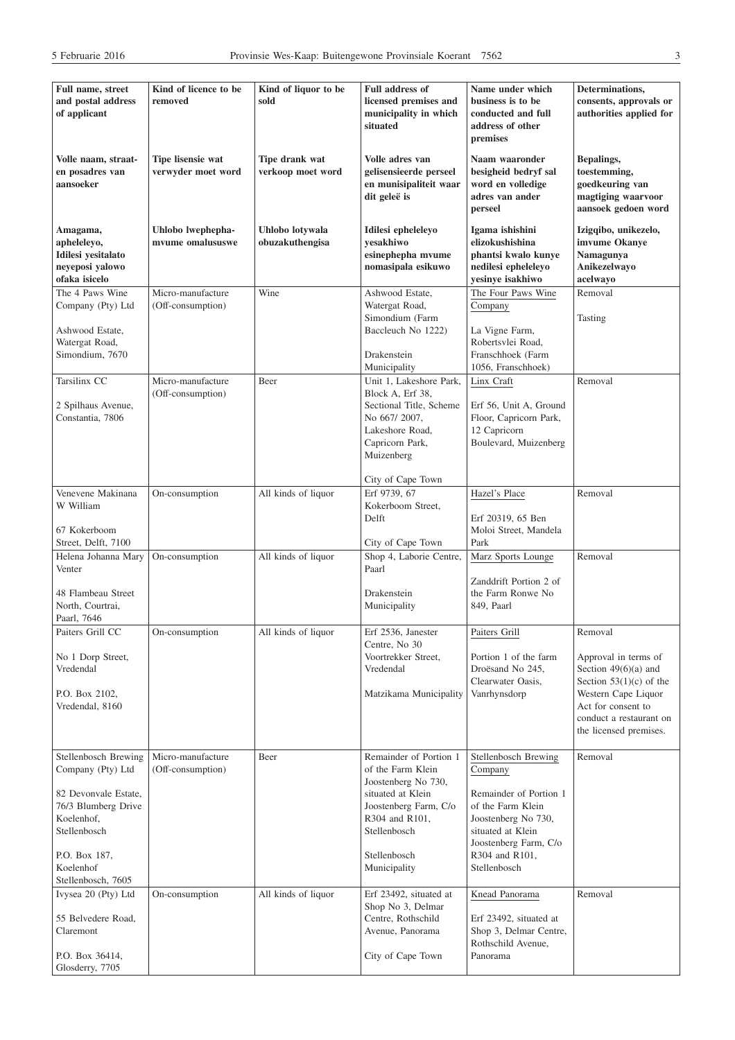| Full name, street<br>and postal address<br>of applicant                                                                                                                    | Kind of licence to be<br>removed        | Kind of liquor to be<br>sold        | <b>Full address of</b><br>licensed premises and<br>municipality in which<br>situated                                                                                               | Name under which<br>business is to be<br>conducted and full<br>address of other<br>premises                                                                                           | Determinations,<br>consents, approvals or<br>authorities applied for                                                                                                                     |
|----------------------------------------------------------------------------------------------------------------------------------------------------------------------------|-----------------------------------------|-------------------------------------|------------------------------------------------------------------------------------------------------------------------------------------------------------------------------------|---------------------------------------------------------------------------------------------------------------------------------------------------------------------------------------|------------------------------------------------------------------------------------------------------------------------------------------------------------------------------------------|
| Volle naam, straat-<br>en posadres van<br>aansoeker                                                                                                                        | Tipe lisensie wat<br>verwyder moet word | Tipe drank wat<br>verkoop moet word | Volle adres van<br>gelisensieerde perseel<br>en munisipaliteit waar<br>dit geleë is                                                                                                | Naam waaronder<br>besigheid bedryf sal<br>word en volledige<br>adres van ander<br>perseel                                                                                             | Bepalings,<br>toestemming,<br>goedkeuring van<br>magtiging waarvoor<br>aansoek gedoen word                                                                                               |
| Amagama,<br>apheleleyo,<br>Idilesi yesitalato<br>neyeposi yalowo<br>ofaka isicelo                                                                                          | Uhlobo lwephepha-<br>mvume omalususwe   | Uhlobo lotywala<br>obuzakuthengisa  | Idilesi epheleleyo<br>yesakhiwo<br>esinephepha mvume<br>nomasipala esikuwo                                                                                                         | Igama ishishini<br>elizokushishina<br>phantsi kwalo kunye<br>nedilesi epheleleyo<br>yesinye isakhiwo                                                                                  | Izigqibo, unikezelo,<br>imvume Okanye<br>Namagunya<br>Anikezelwayo<br>acelwayo                                                                                                           |
| The 4 Paws Wine<br>Company (Pty) Ltd<br>Ashwood Estate,<br>Watergat Road,<br>Simondium, 7670                                                                               | Micro-manufacture<br>(Off-consumption)  | Wine                                | Ashwood Estate,<br>Watergat Road,<br>Simondium (Farm<br>Baccleuch No 1222)<br>Drakenstein<br>Municipality                                                                          | The Four Paws Wine<br>Company<br>La Vigne Farm,<br>Robertsvlei Road,<br>Franschhoek (Farm<br>1056, Franschhoek)                                                                       | Removal<br>Tasting                                                                                                                                                                       |
| Tarsilinx CC<br>2 Spilhaus Avenue,<br>Constantia, 7806                                                                                                                     | Micro-manufacture<br>(Off-consumption)  | Beer                                | Unit 1, Lakeshore Park,<br>Block A. Erf 38.<br>Sectional Title, Scheme<br>No 667/2007.<br>Lakeshore Road.<br>Capricorn Park,<br>Muizenberg<br>City of Cape Town                    | Linx Craft<br>Erf 56, Unit A, Ground<br>Floor, Capricorn Park,<br>12 Capricorn<br>Boulevard, Muizenberg                                                                               | Removal                                                                                                                                                                                  |
| Venevene Makinana<br>W William<br>67 Kokerboom<br>Street, Delft, 7100                                                                                                      | On-consumption                          | All kinds of liquor                 | Erf 9739, 67<br>Kokerboom Street,<br>Delft<br>City of Cape Town                                                                                                                    | Hazel's Place<br>Erf 20319, 65 Ben<br>Moloi Street, Mandela<br>Park                                                                                                                   | Removal                                                                                                                                                                                  |
| Helena Johanna Mary<br>Venter<br>48 Flambeau Street<br>North, Courtrai,<br>Paarl, 7646                                                                                     | On-consumption                          | All kinds of liquor                 | Shop 4, Laborie Centre,<br>Paarl<br>Drakenstein<br>Municipality                                                                                                                    | Marz Sports Lounge<br>Zanddrift Portion 2 of<br>the Farm Ronwe No<br>849, Paarl                                                                                                       | Removal                                                                                                                                                                                  |
| Paiters Grill CC<br>No 1 Dorp Street,<br>Vredendal<br>P.O. Box 2102,<br>Vredendal, 8160                                                                                    | On-consumption                          | All kinds of liquor                 | Erf 2536, Janester<br>Centre, No 30<br>Voortrekker Street,<br>Vredendal<br>Matzikama Municipality                                                                                  | Paiters Grill<br>Portion 1 of the farm<br>Droësand No 245,<br>Clearwater Oasis,<br>Vanrhynsdorp                                                                                       | Removal<br>Approval in terms of<br>Section $49(6)(a)$ and<br>Section $53(1)(c)$ of the<br>Western Cape Liquor<br>Act for consent to<br>conduct a restaurant on<br>the licensed premises. |
| Stellenbosch Brewing<br>Company (Pty) Ltd<br>82 Devonvale Estate,<br>76/3 Blumberg Drive<br>Koelenhof,<br>Stellenbosch<br>P.O. Box 187,<br>Koelenhof<br>Stellenbosch, 7605 | Micro-manufacture<br>(Off-consumption)  | Beer                                | Remainder of Portion 1<br>of the Farm Klein<br>Joostenberg No 730,<br>situated at Klein<br>Joostenberg Farm, C/o<br>R304 and R101,<br>Stellenbosch<br>Stellenbosch<br>Municipality | Stellenbosch Brewing<br>Company<br>Remainder of Portion 1<br>of the Farm Klein<br>Joostenberg No 730,<br>situated at Klein<br>Joostenberg Farm, C/o<br>R304 and R101,<br>Stellenbosch | Removal                                                                                                                                                                                  |
| Ivysea 20 (Pty) Ltd<br>55 Belvedere Road,<br>Claremont<br>P.O. Box 36414,<br>Glosderry, 7705                                                                               | On-consumption                          | All kinds of liquor                 | Erf 23492, situated at<br>Shop No 3, Delmar<br>Centre, Rothschild<br>Avenue, Panorama<br>City of Cape Town                                                                         | Knead Panorama<br>Erf 23492, situated at<br>Shop 3, Delmar Centre,<br>Rothschild Avenue,<br>Panorama                                                                                  | Removal                                                                                                                                                                                  |